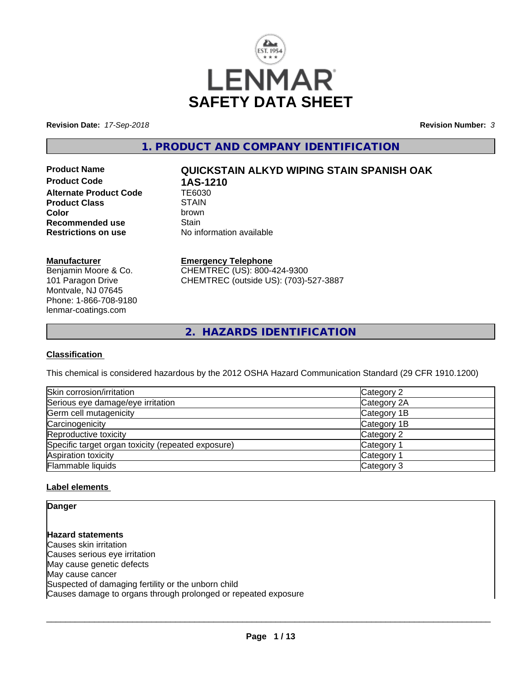

**Revision Date:** *17-Sep-2018* **Revision Number:** *3*

**1. PRODUCT AND COMPANY IDENTIFICATION**

**Product Code 1AS-1210**<br>Alternate Product Code TE6030 **Alternate Product Code Product Class** STAIN<br> **Color** brown **Color** brown **Recommended use** Stain<br> **Restrictions on use** No inf

# **Product Name QUICKSTAIN ALKYD WIPING STAIN SPANISH OAK**

**No information available** 

#### **Manufacturer**

Benjamin Moore & Co. 101 Paragon Drive Montvale, NJ 07645 Phone: 1-866-708-9180 lenmar-coatings.com

# **Emergency Telephone**

CHEMTREC (US): 800-424-9300 CHEMTREC (outside US): (703)-527-3887

**2. HAZARDS IDENTIFICATION**

#### **Classification**

This chemical is considered hazardous by the 2012 OSHA Hazard Communication Standard (29 CFR 1910.1200)

| Skin corrosion/irritation                          | Category 2  |
|----------------------------------------------------|-------------|
| Serious eye damage/eye irritation                  | Category 2A |
| Germ cell mutagenicity                             | Category 1B |
| Carcinogenicity                                    | Category 1B |
| Reproductive toxicity                              | Category 2  |
| Specific target organ toxicity (repeated exposure) | Category 1  |
| Aspiration toxicity                                | Category 1  |
| Flammable liquids                                  | Category 3  |

#### **Label elements**

**Danger**

**Hazard statements** Causes skin irritation Causes serious eye irritation May cause genetic defects May cause cancer Suspected of damaging fertility or the unborn child Causes damage to organs through prolonged or repeated exposure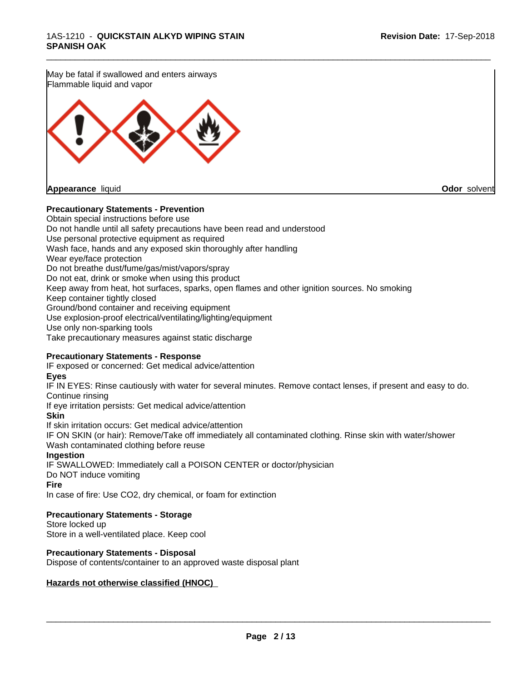May be fatal if swallowed and enters airways Flammable liquid and vapor



**Appearance** liquid **Odor** solvent

#### **Precautionary Statements - Prevention**

Obtain special instructions before use Do not handle until all safety precautions have been read and understood Use personal protective equipment as required Wash face, hands and any exposed skin thoroughly after handling Wear eye/face protection Do not breathe dust/fume/gas/mist/vapors/spray Do not eat, drink or smoke when using this product Keep away from heat, hot surfaces, sparks, open flames and other ignition sources. No smoking Keep container tightly closed Ground/bond container and receiving equipment Use explosion-proof electrical/ventilating/lighting/equipment Use only non-sparking tools Take precautionary measures against static discharge

\_\_\_\_\_\_\_\_\_\_\_\_\_\_\_\_\_\_\_\_\_\_\_\_\_\_\_\_\_\_\_\_\_\_\_\_\_\_\_\_\_\_\_\_\_\_\_\_\_\_\_\_\_\_\_\_\_\_\_\_\_\_\_\_\_\_\_\_\_\_\_\_\_\_\_\_\_\_\_\_\_\_\_\_\_\_\_\_\_\_\_\_\_

### **Precautionary Statements - Response**

IF exposed or concerned: Get medical advice/attention

#### **Eyes**

IF IN EYES: Rinse cautiously with water for several minutes. Remove contact lenses, if present and easy to do. Continue rinsing

If eye irritation persists: Get medical advice/attention

#### **Skin**

If skin irritation occurs: Get medical advice/attention

IF ON SKIN (or hair): Remove/Take off immediately all contaminated clothing. Rinse skin with water/shower Wash contaminated clothing before reuse

#### **Ingestion**

IF SWALLOWED: Immediately call a POISON CENTER or doctor/physician Do NOT induce vomiting

#### **Fire**

In case of fire: Use CO2, dry chemical, or foam for extinction

#### **Precautionary Statements - Storage**

Store locked up Store in a well-ventilated place. Keep cool

# **Precautionary Statements - Disposal**

Dispose of contents/container to an approved waste disposal plant

#### **Hazards not otherwise classified (HNOC)**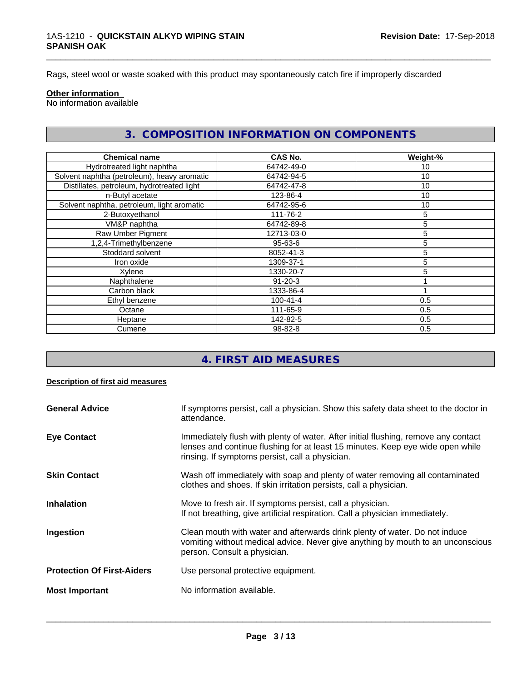Rags, steel wool or waste soaked with this product may spontaneously catch fire if improperly discarded

#### **Other information**

No information available

# **3. COMPOSITION INFORMATION ON COMPONENTS**

\_\_\_\_\_\_\_\_\_\_\_\_\_\_\_\_\_\_\_\_\_\_\_\_\_\_\_\_\_\_\_\_\_\_\_\_\_\_\_\_\_\_\_\_\_\_\_\_\_\_\_\_\_\_\_\_\_\_\_\_\_\_\_\_\_\_\_\_\_\_\_\_\_\_\_\_\_\_\_\_\_\_\_\_\_\_\_\_\_\_\_\_\_

| <b>Chemical name</b>                        | CAS No.        | Weight-% |
|---------------------------------------------|----------------|----------|
| Hydrotreated light naphtha                  | 64742-49-0     | 10       |
| Solvent naphtha (petroleum), heavy aromatic | 64742-94-5     | 10       |
| Distillates, petroleum, hydrotreated light  | 64742-47-8     | 10       |
| n-Butyl acetate                             | 123-86-4       | 10       |
| Solvent naphtha, petroleum, light aromatic  | 64742-95-6     | 10       |
| 2-Butoxyethanol                             | 111-76-2       | 5        |
| VM&P naphtha                                | 64742-89-8     | 5        |
| Raw Umber Pigment                           | 12713-03-0     | 5        |
| 1,2,4-Trimethylbenzene                      | 95-63-6        | 5        |
| Stoddard solvent                            | 8052-41-3      | 5        |
| Iron oxide                                  | 1309-37-1      | 5        |
| Xylene                                      | 1330-20-7      |          |
| Naphthalene                                 | $91 - 20 - 3$  |          |
| Carbon black                                | 1333-86-4      |          |
| Ethyl benzene                               | $100 - 41 - 4$ | 0.5      |
| Octane                                      | 111-65-9       | 0.5      |
| Heptane                                     | 142-82-5       | 0.5      |
| Cumene                                      | 98-82-8        | 0.5      |

# **4. FIRST AID MEASURES**

#### **Description of first aid measures**

| <b>General Advice</b>             | If symptoms persist, call a physician. Show this safety data sheet to the doctor in<br>attendance.                                                                                                                      |
|-----------------------------------|-------------------------------------------------------------------------------------------------------------------------------------------------------------------------------------------------------------------------|
| <b>Eye Contact</b>                | Immediately flush with plenty of water. After initial flushing, remove any contact<br>lenses and continue flushing for at least 15 minutes. Keep eye wide open while<br>rinsing. If symptoms persist, call a physician. |
| <b>Skin Contact</b>               | Wash off immediately with soap and plenty of water removing all contaminated<br>clothes and shoes. If skin irritation persists, call a physician.                                                                       |
| <b>Inhalation</b>                 | Move to fresh air. If symptoms persist, call a physician.<br>If not breathing, give artificial respiration. Call a physician immediately.                                                                               |
| Ingestion                         | Clean mouth with water and afterwards drink plenty of water. Do not induce<br>vomiting without medical advice. Never give anything by mouth to an unconscious<br>person. Consult a physician.                           |
| <b>Protection Of First-Aiders</b> | Use personal protective equipment.                                                                                                                                                                                      |
| <b>Most Important</b>             | No information available.                                                                                                                                                                                               |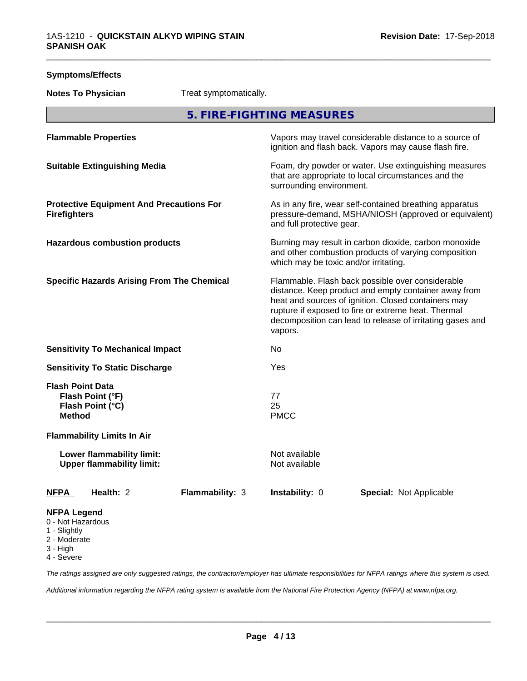| <b>Symptoms/Effects</b>                                                                                               |                        |                                       |                                                                                                                                                                                                                                                                                     |  |
|-----------------------------------------------------------------------------------------------------------------------|------------------------|---------------------------------------|-------------------------------------------------------------------------------------------------------------------------------------------------------------------------------------------------------------------------------------------------------------------------------------|--|
| <b>Notes To Physician</b>                                                                                             | Treat symptomatically. |                                       |                                                                                                                                                                                                                                                                                     |  |
|                                                                                                                       |                        | 5. FIRE-FIGHTING MEASURES             |                                                                                                                                                                                                                                                                                     |  |
| <b>Flammable Properties</b>                                                                                           |                        |                                       | Vapors may travel considerable distance to a source of<br>ignition and flash back. Vapors may cause flash fire.                                                                                                                                                                     |  |
| <b>Suitable Extinguishing Media</b>                                                                                   |                        | surrounding environment.              | Foam, dry powder or water. Use extinguishing measures<br>that are appropriate to local circumstances and the                                                                                                                                                                        |  |
| <b>Protective Equipment And Precautions For</b><br><b>Firefighters</b>                                                |                        | and full protective gear.             | As in any fire, wear self-contained breathing apparatus<br>pressure-demand, MSHA/NIOSH (approved or equivalent)                                                                                                                                                                     |  |
| <b>Hazardous combustion products</b>                                                                                  |                        | which may be toxic and/or irritating. | Burning may result in carbon dioxide, carbon monoxide<br>and other combustion products of varying composition                                                                                                                                                                       |  |
| <b>Specific Hazards Arising From The Chemical</b>                                                                     |                        | vapors.                               | Flammable. Flash back possible over considerable<br>distance. Keep product and empty container away from<br>heat and sources of ignition. Closed containers may<br>rupture if exposed to fire or extreme heat. Thermal<br>decomposition can lead to release of irritating gases and |  |
| <b>Sensitivity To Mechanical Impact</b>                                                                               |                        | No                                    |                                                                                                                                                                                                                                                                                     |  |
| <b>Sensitivity To Static Discharge</b>                                                                                |                        | Yes                                   |                                                                                                                                                                                                                                                                                     |  |
| <b>Flash Point Data</b><br>Flash Point (°F)<br>Flash Point (°C)<br><b>Method</b><br><b>Flammability Limits In Air</b> |                        | 77<br>25<br><b>PMCC</b>               |                                                                                                                                                                                                                                                                                     |  |
| Lower flammability limit:<br><b>Upper flammability limit:</b>                                                         |                        | Not available<br>Not available        |                                                                                                                                                                                                                                                                                     |  |
| Health: 2<br><u>NFPA</u>                                                                                              | Flammability: 3        | Instability: 0                        | <b>Special: Not Applicable</b>                                                                                                                                                                                                                                                      |  |
| <b>NFPA Legend</b><br>0 - Not Hazardous<br>1 - Slightly<br>2 - Moderate<br>3 - High                                   |                        |                                       |                                                                                                                                                                                                                                                                                     |  |

4 - Severe

*The ratings assigned are only suggested ratings, the contractor/employer has ultimate responsibilities for NFPA ratings where this system is used.*

*Additional information regarding the NFPA rating system is available from the National Fire Protection Agency (NFPA) at www.nfpa.org.*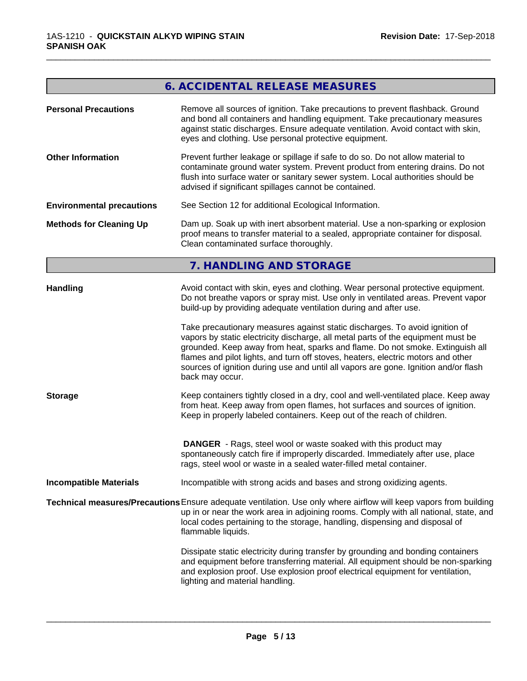# **6. ACCIDENTAL RELEASE MEASURES**

\_\_\_\_\_\_\_\_\_\_\_\_\_\_\_\_\_\_\_\_\_\_\_\_\_\_\_\_\_\_\_\_\_\_\_\_\_\_\_\_\_\_\_\_\_\_\_\_\_\_\_\_\_\_\_\_\_\_\_\_\_\_\_\_\_\_\_\_\_\_\_\_\_\_\_\_\_\_\_\_\_\_\_\_\_\_\_\_\_\_\_\_\_

| <b>Personal Precautions</b>       | Remove all sources of ignition. Take precautions to prevent flashback. Ground<br>and bond all containers and handling equipment. Take precautionary measures<br>against static discharges. Ensure adequate ventilation. Avoid contact with skin,<br>eyes and clothing. Use personal protective equipment.                                                                                                                                                                                                                                                                                                                                                                                                                                                                                                                                                       |
|-----------------------------------|-----------------------------------------------------------------------------------------------------------------------------------------------------------------------------------------------------------------------------------------------------------------------------------------------------------------------------------------------------------------------------------------------------------------------------------------------------------------------------------------------------------------------------------------------------------------------------------------------------------------------------------------------------------------------------------------------------------------------------------------------------------------------------------------------------------------------------------------------------------------|
| <b>Other Information</b>          | Prevent further leakage or spillage if safe to do so. Do not allow material to<br>contaminate ground water system. Prevent product from entering drains. Do not<br>flush into surface water or sanitary sewer system. Local authorities should be<br>advised if significant spillages cannot be contained.                                                                                                                                                                                                                                                                                                                                                                                                                                                                                                                                                      |
| <b>Environmental precautions</b>  | See Section 12 for additional Ecological Information.                                                                                                                                                                                                                                                                                                                                                                                                                                                                                                                                                                                                                                                                                                                                                                                                           |
| <b>Methods for Cleaning Up</b>    | Dam up. Soak up with inert absorbent material. Use a non-sparking or explosion<br>proof means to transfer material to a sealed, appropriate container for disposal.<br>Clean contaminated surface thoroughly.                                                                                                                                                                                                                                                                                                                                                                                                                                                                                                                                                                                                                                                   |
|                                   | 7. HANDLING AND STORAGE                                                                                                                                                                                                                                                                                                                                                                                                                                                                                                                                                                                                                                                                                                                                                                                                                                         |
| <b>Handling</b><br><b>Storage</b> | Avoid contact with skin, eyes and clothing. Wear personal protective equipment.<br>Do not breathe vapors or spray mist. Use only in ventilated areas. Prevent vapor<br>build-up by providing adequate ventilation during and after use.<br>Take precautionary measures against static discharges. To avoid ignition of<br>vapors by static electricity discharge, all metal parts of the equipment must be<br>grounded. Keep away from heat, sparks and flame. Do not smoke. Extinguish all<br>flames and pilot lights, and turn off stoves, heaters, electric motors and other<br>sources of ignition during use and until all vapors are gone. Ignition and/or flash<br>back may occur.<br>Keep containers tightly closed in a dry, cool and well-ventilated place. Keep away<br>from heat. Keep away from open flames, hot surfaces and sources of ignition. |
|                                   | Keep in properly labeled containers. Keep out of the reach of children.<br><b>DANGER</b> - Rags, steel wool or waste soaked with this product may<br>spontaneously catch fire if improperly discarded. Immediately after use, place<br>rags, steel wool or waste in a sealed water-filled metal container.                                                                                                                                                                                                                                                                                                                                                                                                                                                                                                                                                      |
| <b>Incompatible Materials</b>     | Incompatible with strong acids and bases and strong oxidizing agents.                                                                                                                                                                                                                                                                                                                                                                                                                                                                                                                                                                                                                                                                                                                                                                                           |
|                                   | Technical measures/Precautions Ensure adequate ventilation. Use only where airflow will keep vapors from building<br>up in or near the work area in adjoining rooms. Comply with all national, state, and<br>local codes pertaining to the storage, handling, dispensing and disposal of<br>flammable liquids.                                                                                                                                                                                                                                                                                                                                                                                                                                                                                                                                                  |
|                                   | Dissipate static electricity during transfer by grounding and bonding containers<br>and equipment before transferring material. All equipment should be non-sparking<br>and explosion proof. Use explosion proof electrical equipment for ventilation,<br>lighting and material handling.                                                                                                                                                                                                                                                                                                                                                                                                                                                                                                                                                                       |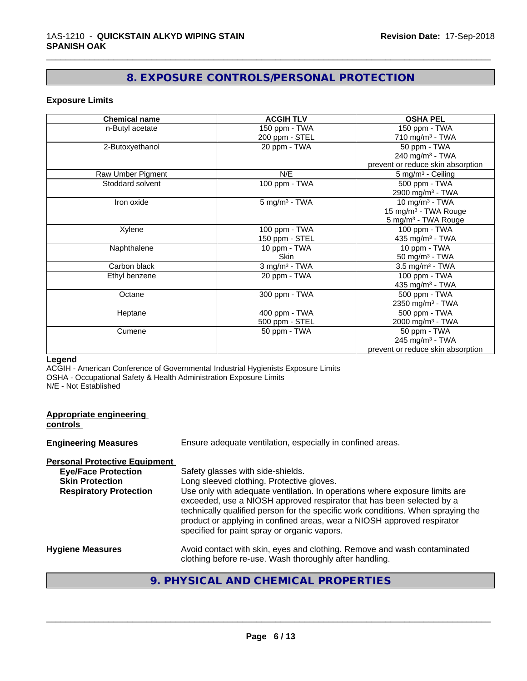# **8. EXPOSURE CONTROLS/PERSONAL PROTECTION**

\_\_\_\_\_\_\_\_\_\_\_\_\_\_\_\_\_\_\_\_\_\_\_\_\_\_\_\_\_\_\_\_\_\_\_\_\_\_\_\_\_\_\_\_\_\_\_\_\_\_\_\_\_\_\_\_\_\_\_\_\_\_\_\_\_\_\_\_\_\_\_\_\_\_\_\_\_\_\_\_\_\_\_\_\_\_\_\_\_\_\_\_\_

#### **Exposure Limits**

| <b>Chemical name</b> | <b>ACGIH TLV</b>            | <b>OSHA PEL</b>                   |
|----------------------|-----------------------------|-----------------------------------|
| n-Butyl acetate      | 150 ppm - TWA               | 150 ppm - TWA                     |
|                      | 200 ppm - STEL              | 710 mg/m <sup>3</sup> - TWA       |
| 2-Butoxyethanol      | 20 ppm - TWA                | 50 ppm - TWA                      |
|                      |                             | 240 mg/m $3$ - TWA                |
|                      |                             | prevent or reduce skin absorption |
| Raw Umber Pigment    | N/E                         | 5 mg/m <sup>3</sup> - Ceiling     |
| Stoddard solvent     | 100 ppm - TWA               | 500 ppm - TWA                     |
|                      |                             | 2900 mg/m <sup>3</sup> - TWA      |
| Iron oxide           | $5 \text{ mg/m}^3$ - TWA    | 10 mg/m $3$ - TWA                 |
|                      |                             | 15 mg/m <sup>3</sup> - TWA Rouge  |
|                      |                             | 5 mg/m <sup>3</sup> - TWA Rouge   |
| Xylene               | 100 ppm - TWA               | 100 ppm - TWA                     |
|                      | 150 ppm - STEL              | 435 mg/m <sup>3</sup> - TWA       |
| Naphthalene          | 10 ppm - TWA                | 10 ppm - TWA                      |
|                      | <b>Skin</b>                 | 50 mg/m $3$ - TWA                 |
| Carbon black         | $3$ mg/m <sup>3</sup> - TWA | 3.5 mg/m <sup>3</sup> - TWA       |
| Ethyl benzene        | 20 ppm - TWA                | 100 ppm - TWA                     |
|                      |                             | 435 mg/m <sup>3</sup> - TWA       |
| Octane               | 300 ppm - TWA               | 500 ppm - TWA                     |
|                      |                             | 2350 mg/m <sup>3</sup> - TWA      |
| Heptane              | 400 ppm - TWA               | 500 ppm - TWA                     |
|                      | 500 ppm - STEL              | 2000 mg/m <sup>3</sup> - TWA      |
| Cumene               | 50 ppm - TWA                | 50 ppm - TWA                      |
|                      |                             | 245 mg/m $3$ - TWA                |
|                      |                             | prevent or reduce skin absorption |

### **Legend**

ACGIH - American Conference of Governmental Industrial Hygienists Exposure Limits OSHA - Occupational Safety & Health Administration Exposure Limits N/E - Not Established

| <b>Appropriate engineering</b><br>controls                                                                                    |                                                                                                                                                                                                                                                                                                                                                                                                                                                       |
|-------------------------------------------------------------------------------------------------------------------------------|-------------------------------------------------------------------------------------------------------------------------------------------------------------------------------------------------------------------------------------------------------------------------------------------------------------------------------------------------------------------------------------------------------------------------------------------------------|
| <b>Engineering Measures</b>                                                                                                   | Ensure adequate ventilation, especially in confined areas.                                                                                                                                                                                                                                                                                                                                                                                            |
| <b>Personal Protective Equipment</b><br><b>Eye/Face Protection</b><br><b>Skin Protection</b><br><b>Respiratory Protection</b> | Safety glasses with side-shields.<br>Long sleeved clothing. Protective gloves.<br>Use only with adequate ventilation. In operations where exposure limits are<br>exceeded, use a NIOSH approved respirator that has been selected by a<br>technically qualified person for the specific work conditions. When spraying the<br>product or applying in confined areas, wear a NIOSH approved respirator<br>specified for paint spray or organic vapors. |
| <b>Hygiene Measures</b>                                                                                                       | Avoid contact with skin, eyes and clothing. Remove and wash contaminated<br>clothing before re-use. Wash thoroughly after handling.                                                                                                                                                                                                                                                                                                                   |

# **9. PHYSICAL AND CHEMICAL PROPERTIES**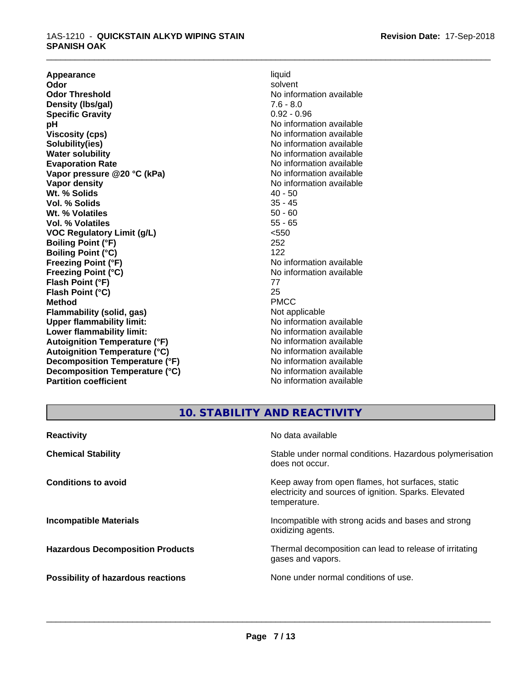#### 1AS-1210 - **QUICKSTAIN ALKYD WIPING STAIN SPANISH OAK**

**Appearance** liquid and **a liquid development of the set of the set of the set of the set of the set of the set of the set of the set of the set of the set of the set of the set of the set of the set of the set of the set Odor** solvent **Odor Threshold** No information available **Density (Ibs/gal)** 7.6 - 8.0<br> **Specific Gravity** 3.0 2.096 **Specific Gravity pH** No information available **Viscosity (cps)** No information available<br> **Solubility (ies)** No information available<br>
No information available **Solubility(ies)**<br> **No** information available<br> **Water solubility**<br> **No** information available **Evaporation Rate No information available No information available Vapor pressure @20 °C (kPa)** No information available **Vapor density No information available No** information available **Wt. % Solids** 40 - 50<br> **Vol. % Solids** 35 - 45 **Vol. % Solids** 35 - 45<br> **Wt. % Volatiles** 35 - 45 **Wt. % Volatiles Vol. % Volatiles** 55 - 65 **VOC Regulatory Limit (g/L)** <550 **Boiling Point (°F)** 252 **Boiling Point (°C)** 122<br>**Freezing Point (°F)** No i **Freezing Point (°C)** No information available **Flash Point (°F)** 77 **Flash Point (°C)** 25 **Method** PMCC **Flammability (solid, gas)**<br> **Commability limit:**<br>
Upper flammability limit:<br>
Wo information available **Upper flammability limit: Lower flammability limit:**<br> **Autoignition Temperature (°F)** No information available<br>
No information available **Autoignition Temperature (°F) Autoignition Temperature (°C)** No information available **Decomposition Temperature (°F)** No information available **Decomposition Temperature (°C)** No information available **Partition coefficient** No information available

**No information available Freezing Point (°F)** No information available

\_\_\_\_\_\_\_\_\_\_\_\_\_\_\_\_\_\_\_\_\_\_\_\_\_\_\_\_\_\_\_\_\_\_\_\_\_\_\_\_\_\_\_\_\_\_\_\_\_\_\_\_\_\_\_\_\_\_\_\_\_\_\_\_\_\_\_\_\_\_\_\_\_\_\_\_\_\_\_\_\_\_\_\_\_\_\_\_\_\_\_\_\_

# **10. STABILITY AND REACTIVITY**

| <b>Reactivity</b>                       | No data available                                                                                                         |
|-----------------------------------------|---------------------------------------------------------------------------------------------------------------------------|
| <b>Chemical Stability</b>               | Stable under normal conditions. Hazardous polymerisation<br>does not occur.                                               |
| <b>Conditions to avoid</b>              | Keep away from open flames, hot surfaces, static<br>electricity and sources of ignition. Sparks. Elevated<br>temperature. |
| <b>Incompatible Materials</b>           | Incompatible with strong acids and bases and strong<br>oxidizing agents.                                                  |
| <b>Hazardous Decomposition Products</b> | Thermal decomposition can lead to release of irritating<br>gases and vapors.                                              |
| Possibility of hazardous reactions      | None under normal conditions of use.                                                                                      |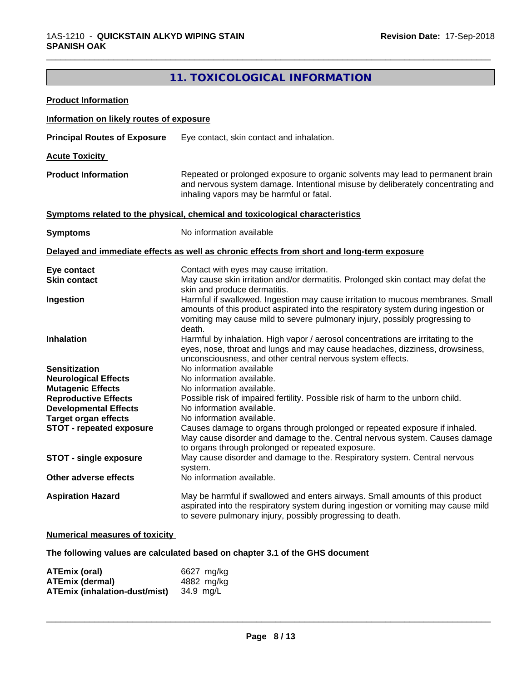# **11. TOXICOLOGICAL INFORMATION**

\_\_\_\_\_\_\_\_\_\_\_\_\_\_\_\_\_\_\_\_\_\_\_\_\_\_\_\_\_\_\_\_\_\_\_\_\_\_\_\_\_\_\_\_\_\_\_\_\_\_\_\_\_\_\_\_\_\_\_\_\_\_\_\_\_\_\_\_\_\_\_\_\_\_\_\_\_\_\_\_\_\_\_\_\_\_\_\_\_\_\_\_\_

| <b>Product Information</b>                                  |                                                                                                                                                                                                                                  |
|-------------------------------------------------------------|----------------------------------------------------------------------------------------------------------------------------------------------------------------------------------------------------------------------------------|
| Information on likely routes of exposure                    |                                                                                                                                                                                                                                  |
| <b>Principal Routes of Exposure</b>                         | Eye contact, skin contact and inhalation.                                                                                                                                                                                        |
| <b>Acute Toxicity</b>                                       |                                                                                                                                                                                                                                  |
| <b>Product Information</b>                                  | Repeated or prolonged exposure to organic solvents may lead to permanent brain<br>and nervous system damage. Intentional misuse by deliberately concentrating and<br>inhaling vapors may be harmful or fatal.                    |
|                                                             | Symptoms related to the physical, chemical and toxicological characteristics                                                                                                                                                     |
| <b>Symptoms</b>                                             | No information available                                                                                                                                                                                                         |
|                                                             | Delayed and immediate effects as well as chronic effects from short and long-term exposure                                                                                                                                       |
| Eye contact                                                 | Contact with eyes may cause irritation.                                                                                                                                                                                          |
| <b>Skin contact</b>                                         | May cause skin irritation and/or dermatitis. Prolonged skin contact may defat the                                                                                                                                                |
| Ingestion                                                   | skin and produce dermatitis.<br>Harmful if swallowed. Ingestion may cause irritation to mucous membranes. Small<br>amounts of this product aspirated into the respiratory system during ingestion or                             |
|                                                             | vomiting may cause mild to severe pulmonary injury, possibly progressing to<br>death.                                                                                                                                            |
| Inhalation                                                  | Harmful by inhalation. High vapor / aerosol concentrations are irritating to the<br>eyes, nose, throat and lungs and may cause headaches, dizziness, drowsiness,<br>unconsciousness, and other central nervous system effects.   |
| <b>Sensitization</b>                                        | No information available                                                                                                                                                                                                         |
| <b>Neurological Effects</b>                                 | No information available.                                                                                                                                                                                                        |
| <b>Mutagenic Effects</b>                                    | No information available.                                                                                                                                                                                                        |
| <b>Reproductive Effects</b>                                 | Possible risk of impaired fertility. Possible risk of harm to the unborn child.<br>No information available.                                                                                                                     |
| <b>Developmental Effects</b><br><b>Target organ effects</b> | No information available.                                                                                                                                                                                                        |
| <b>STOT - repeated exposure</b>                             | Causes damage to organs through prolonged or repeated exposure if inhaled.                                                                                                                                                       |
|                                                             | May cause disorder and damage to the. Central nervous system. Causes damage                                                                                                                                                      |
| <b>STOT - single exposure</b>                               | to organs through prolonged or repeated exposure.<br>May cause disorder and damage to the. Respiratory system. Central nervous                                                                                                   |
| Other adverse effects                                       | system.<br>No information available.                                                                                                                                                                                             |
|                                                             |                                                                                                                                                                                                                                  |
| <b>Aspiration Hazard</b>                                    | May be harmful if swallowed and enters airways. Small amounts of this product<br>aspirated into the respiratory system during ingestion or vomiting may cause mild<br>to severe pulmonary injury, possibly progressing to death. |
|                                                             |                                                                                                                                                                                                                                  |

## **Numerical measures of toxicity**

**The following values are calculated based on chapter 3.1 of the GHS document**

| ATEmix (oral)                        | 6627 mg/ka |
|--------------------------------------|------------|
| <b>ATEmix (dermal)</b>               | 4882 mg/ka |
| <b>ATEmix (inhalation-dust/mist)</b> | 34.9 ma/L  |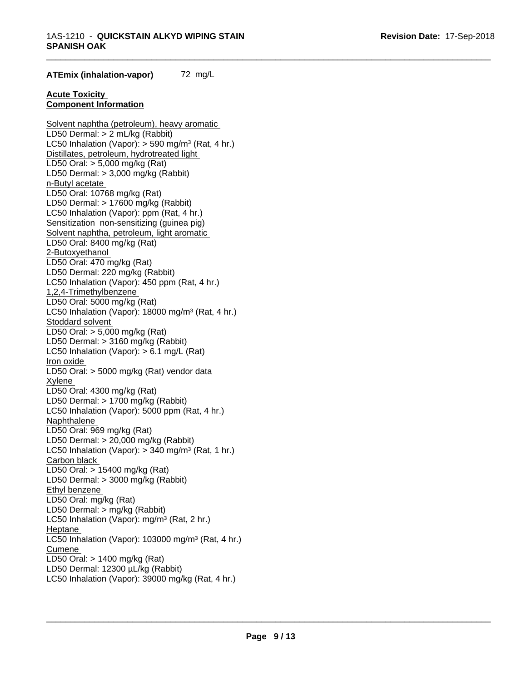\_\_\_\_\_\_\_\_\_\_\_\_\_\_\_\_\_\_\_\_\_\_\_\_\_\_\_\_\_\_\_\_\_\_\_\_\_\_\_\_\_\_\_\_\_\_\_\_\_\_\_\_\_\_\_\_\_\_\_\_\_\_\_\_\_\_\_\_\_\_\_\_\_\_\_\_\_\_\_\_\_\_\_\_\_\_\_\_\_\_\_\_\_

#### **ATEmix (inhalation-vapor)** 72 mg/L

#### **Acute Toxicity Component Information**

Solvent naphtha (petroleum), heavy aromatic LD50 Dermal: > 2 mL/kg (Rabbit) LC50 Inhalation (Vapor): > 590 mg/m<sup>3</sup> (Rat, 4 hr.) Distillates, petroleum, hydrotreated light LD50 Oral: > 5,000 mg/kg (Rat) LD50 Dermal: > 3,000 mg/kg (Rabbit) n-Butyl acetate LD50 Oral: 10768 mg/kg (Rat) LD50 Dermal: > 17600 mg/kg (Rabbit) LC50 Inhalation (Vapor): ppm (Rat, 4 hr.) Sensitization non-sensitizing (guinea pig) Solvent naphtha, petroleum, light aromatic LD50 Oral: 8400 mg/kg (Rat) 2-Butoxyethanol LD50 Oral: 470 mg/kg (Rat) LD50 Dermal: 220 mg/kg (Rabbit) LC50 Inhalation (Vapor): 450 ppm (Rat, 4 hr.) 1,2,4-Trimethylbenzene LD50 Oral: 5000 mg/kg (Rat) LC50 Inhalation (Vapor): 18000 mg/m<sup>3</sup> (Rat, 4 hr.) Stoddard solvent LD50 Oral: > 5,000 mg/kg (Rat) LD50 Dermal: > 3160 mg/kg (Rabbit) LC50 Inhalation (Vapor): > 6.1 mg/L (Rat) Iron oxide LD50 Oral: > 5000 mg/kg (Rat) vendor data Xylene LD50 Oral: 4300 mg/kg (Rat) LD50 Dermal: > 1700 mg/kg (Rabbit) LC50 Inhalation (Vapor): 5000 ppm (Rat, 4 hr.) Naphthalene LD50 Oral: 969 mg/kg (Rat) LD50 Dermal: > 20,000 mg/kg (Rabbit) LC50 Inhalation (Vapor): > 340 mg/m<sup>3</sup> (Rat, 1 hr.) Carbon black LD50 Oral: > 15400 mg/kg (Rat) LD50 Dermal: > 3000 mg/kg (Rabbit) Ethyl benzene LD50 Oral: mg/kg (Rat) LD50 Dermal: > mg/kg (Rabbit) LC50 Inhalation (Vapor): mg/m<sup>3</sup> (Rat, 2 hr.) Heptane LC50 Inhalation (Vapor): 103000 mg/m<sup>3</sup> (Rat, 4 hr.) Cumene LD50 Oral: > 1400 mg/kg (Rat) LD50 Dermal: 12300 µL/kg (Rabbit) LC50 Inhalation (Vapor): 39000 mg/kg (Rat, 4 hr.)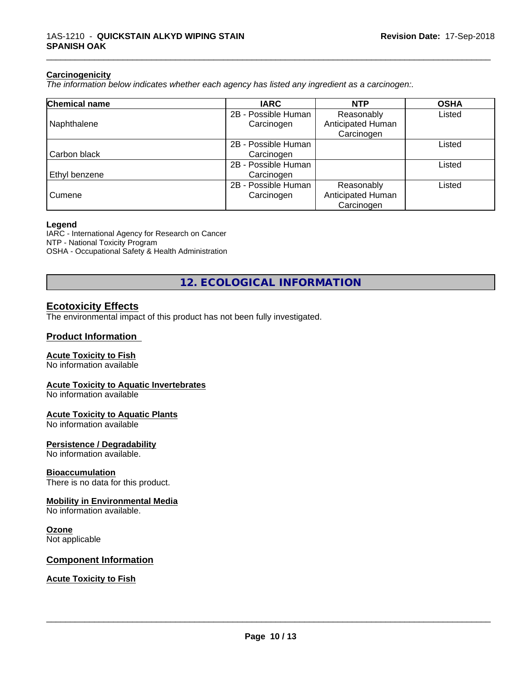#### **Carcinogenicity**

*The information below indicateswhether each agency has listed any ingredient as a carcinogen:.*

| Chemical name | <b>IARC</b>         | <b>NTP</b>        | <b>OSHA</b> |
|---------------|---------------------|-------------------|-------------|
|               | 2B - Possible Human | Reasonably        | Listed      |
| Naphthalene   | Carcinogen          | Anticipated Human |             |
|               |                     | Carcinogen        |             |
|               | 2B - Possible Human |                   | Listed      |
| Carbon black  | Carcinogen          |                   |             |
|               | 2B - Possible Human |                   | Listed      |
| Ethyl benzene | Carcinogen          |                   |             |
|               | 2B - Possible Human | Reasonably        | Listed      |
| Cumene        | Carcinogen          | Anticipated Human |             |
|               |                     | Carcinogen        |             |

#### **Legend**

IARC - International Agency for Research on Cancer NTP - National Toxicity Program OSHA - Occupational Safety & Health Administration

**12. ECOLOGICAL INFORMATION**

# **Ecotoxicity Effects**

The environmental impact of this product has not been fully investigated.

#### **Product Information**

#### **Acute Toxicity to Fish**

No information available

#### **Acute Toxicity to Aquatic Invertebrates**

No information available

#### **Acute Toxicity to Aquatic Plants**

No information available

#### **Persistence / Degradability**

No information available.

#### **Bioaccumulation**

There is no data for this product.

#### **Mobility in Environmental Media**

No information available.

#### **Ozone**

Not applicable

#### **Component Information**

**Acute Toxicity to Fish**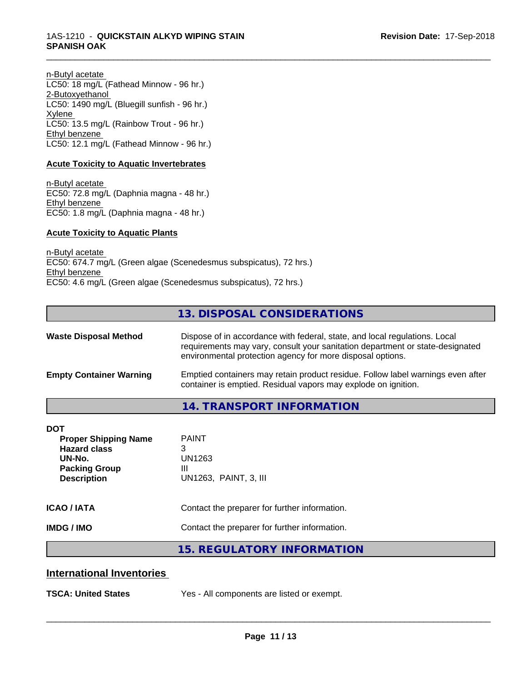n-Butyl acetate LC50: 18 mg/L (Fathead Minnow - 96 hr.) 2-Butoxyethanol LC50: 1490 mg/L (Bluegill sunfish - 96 hr.) Xylene LC50: 13.5 mg/L (Rainbow Trout - 96 hr.) Ethyl benzene LC50: 12.1 mg/L (Fathead Minnow - 96 hr.)

#### **Acute Toxicity to Aquatic Invertebrates**

n-Butyl acetate EC50: 72.8 mg/L (Daphnia magna - 48 hr.) Ethyl benzene EC50: 1.8 mg/L (Daphnia magna - 48 hr.)

#### **Acute Toxicity to Aquatic Plants**

n-Butyl acetate EC50: 674.7 mg/L (Green algae (Scenedesmus subspicatus), 72 hrs.) Ethyl benzene EC50: 4.6 mg/L (Green algae (Scenedesmus subspicatus), 72 hrs.)

# **13. DISPOSAL CONSIDERATIONS**

\_\_\_\_\_\_\_\_\_\_\_\_\_\_\_\_\_\_\_\_\_\_\_\_\_\_\_\_\_\_\_\_\_\_\_\_\_\_\_\_\_\_\_\_\_\_\_\_\_\_\_\_\_\_\_\_\_\_\_\_\_\_\_\_\_\_\_\_\_\_\_\_\_\_\_\_\_\_\_\_\_\_\_\_\_\_\_\_\_\_\_\_\_

| <b>Waste Disposal Method</b>   | Dispose of in accordance with federal, state, and local regulations. Local<br>requirements may vary, consult your sanitation department or state-designated<br>environmental protection agency for more disposal options. |  |
|--------------------------------|---------------------------------------------------------------------------------------------------------------------------------------------------------------------------------------------------------------------------|--|
| <b>Empty Container Warning</b> | Emptied containers may retain product residue. Follow label warnings even after<br>container is emptied. Residual vapors may explode on ignition.                                                                         |  |
|                                | ____________________________                                                                                                                                                                                              |  |

# **14. TRANSPORT INFORMATION**

| DOT                                                                                                        |                                                           |
|------------------------------------------------------------------------------------------------------------|-----------------------------------------------------------|
| <b>Proper Shipping Name</b><br><b>Hazard class</b><br>UN-No.<br><b>Packing Group</b><br><b>Description</b> | <b>PAINT</b><br>3<br>UN1263<br>Ш<br>UN1263, PAINT, 3, III |
| <b>ICAO / IATA</b>                                                                                         | Contact the preparer for further information.             |
| <b>IMDG / IMO</b>                                                                                          | Contact the preparer for further information.             |
|                                                                                                            | 15. REGULATORY INFORMATION                                |

### **International Inventories**

**TSCA: United States** Yes - All components are listed or exempt.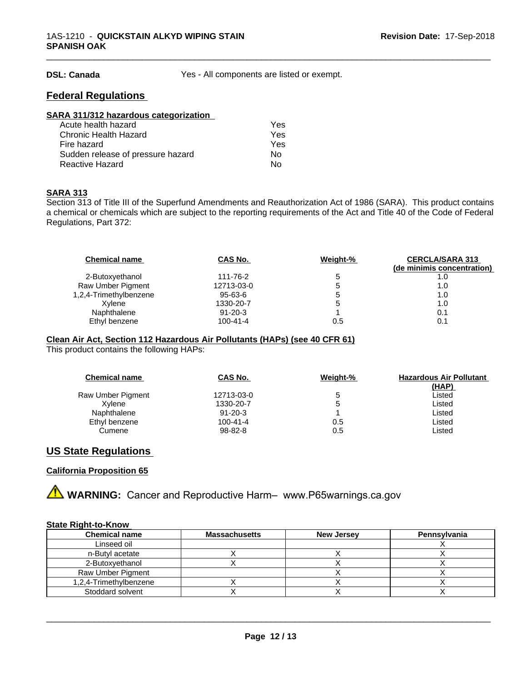**DSL: Canada** Yes - All components are listed or exempt.

\_\_\_\_\_\_\_\_\_\_\_\_\_\_\_\_\_\_\_\_\_\_\_\_\_\_\_\_\_\_\_\_\_\_\_\_\_\_\_\_\_\_\_\_\_\_\_\_\_\_\_\_\_\_\_\_\_\_\_\_\_\_\_\_\_\_\_\_\_\_\_\_\_\_\_\_\_\_\_\_\_\_\_\_\_\_\_\_\_\_\_\_\_

## **Federal Regulations**

| SARA 311/312 hazardous categorization |     |  |
|---------------------------------------|-----|--|
| Acute health hazard                   | Yes |  |
| Chronic Health Hazard                 | Yes |  |
| Fire hazard                           | Yes |  |
| Sudden release of pressure hazard     | Nο  |  |
| <b>Reactive Hazard</b>                | No  |  |

#### **SARA 313**

Section 313 of Title III of the Superfund Amendments and Reauthorization Act of 1986 (SARA). This product contains a chemical or chemicals which are subject to the reporting requirements of the Act and Title 40 of the Code of Federal Regulations, Part 372:

| <b>Chemical name</b>   | CAS No.        | Weight-% | <b>CERCLA/SARA 313</b><br>(de minimis concentration) |
|------------------------|----------------|----------|------------------------------------------------------|
| 2-Butoxyethanol        | 111-76-2       | b        | 1.0                                                  |
| Raw Umber Pigment      | 12713-03-0     | '5       | 1.0                                                  |
| 1,2,4-Trimethylbenzene | 95-63-6        | '5       | 1.0                                                  |
| Xvlene                 | 1330-20-7      | '5       | 1.0                                                  |
| Naphthalene            | $91 - 20 - 3$  |          | 0.1                                                  |
| Ethyl benzene          | $100 - 41 - 4$ | 0.5      | 0.1                                                  |

#### **Clean Air Act,Section 112 Hazardous Air Pollutants (HAPs) (see 40 CFR 61)**

This product contains the following HAPs:

| <b>Chemical name</b> | CAS No.        | Weight-% | <b>Hazardous Air Pollutant</b> |
|----------------------|----------------|----------|--------------------------------|
|                      |                |          | <u>(HAP)</u>                   |
| Raw Umber Pigment    | 12713-03-0     |          | ∟isted                         |
| Xvlene               | 1330-20-7      |          | Listed                         |
| Naphthalene          | $91 - 20 - 3$  |          | Listed                         |
| Ethyl benzene        | $100 - 41 - 4$ | 0.5      | Listed                         |
| Cumene               | 98-82-8        | 0.5      | ∟isted                         |

## **US State Regulations**

#### **California Proposition 65**

**A** WARNING: Cancer and Reproductive Harm– www.P65warnings.ca.gov

#### **State Right-to-Know**

| <b>Chemical name</b>   | <b>Massachusetts</b> | <b>New Jersey</b> | <b>Pennsylvania</b> |
|------------------------|----------------------|-------------------|---------------------|
| Linseed oil            |                      |                   |                     |
| n-Butyl acetate        |                      |                   |                     |
| 2-Butoxvethanol        |                      |                   |                     |
| Raw Umber Pigment      |                      |                   |                     |
| 1,2,4-Trimethylbenzene |                      |                   |                     |
| Stoddard solvent       |                      |                   |                     |